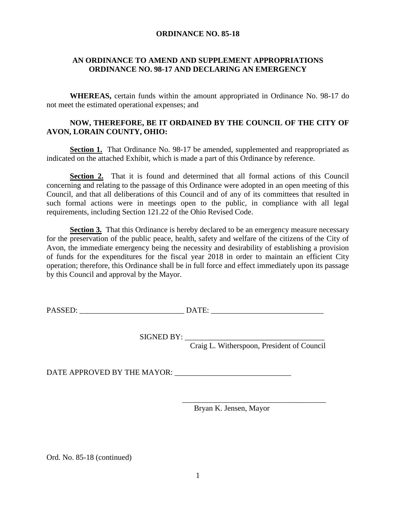## **ORDINANCE NO. 85-18**

## **AN ORDINANCE TO AMEND AND SUPPLEMENT APPROPRIATIONS ORDINANCE NO. 98-17 AND DECLARING AN EMERGENCY**

**WHEREAS,** certain funds within the amount appropriated in Ordinance No. 98-17 do not meet the estimated operational expenses; and

## **NOW, THEREFORE, BE IT ORDAINED BY THE COUNCIL OF THE CITY OF AVON, LORAIN COUNTY, OHIO:**

**Section 1.** That Ordinance No. 98-17 be amended, supplemented and reappropriated as indicated on the attached Exhibit, which is made a part of this Ordinance by reference.

**Section 2.** That it is found and determined that all formal actions of this Council concerning and relating to the passage of this Ordinance were adopted in an open meeting of this Council, and that all deliberations of this Council and of any of its committees that resulted in such formal actions were in meetings open to the public, in compliance with all legal requirements, including Section 121.22 of the Ohio Revised Code.

**Section 3.** That this Ordinance is hereby declared to be an emergency measure necessary for the preservation of the public peace, health, safety and welfare of the citizens of the City of Avon, the immediate emergency being the necessity and desirability of establishing a provision of funds for the expenditures for the fiscal year 2018 in order to maintain an efficient City operation; therefore, this Ordinance shall be in full force and effect immediately upon its passage by this Council and approval by the Mayor.

PASSED: \_\_\_\_\_\_\_\_\_\_\_\_\_\_\_\_\_\_\_\_\_\_\_\_\_\_\_ DATE: \_\_\_\_\_\_\_\_\_\_\_\_\_\_\_\_\_\_\_\_\_\_\_\_\_\_\_\_\_

 $SIGNED BY:$ 

Craig L. Witherspoon, President of Council

DATE APPROVED BY THE MAYOR: \_\_\_\_\_\_\_\_\_\_\_\_\_\_\_\_\_\_\_\_\_\_\_\_\_\_\_\_\_\_

Bryan K. Jensen, Mayor

\_\_\_\_\_\_\_\_\_\_\_\_\_\_\_\_\_\_\_\_\_\_\_\_\_\_\_\_\_\_\_\_\_\_\_\_\_

Ord. No. 85-18 (continued)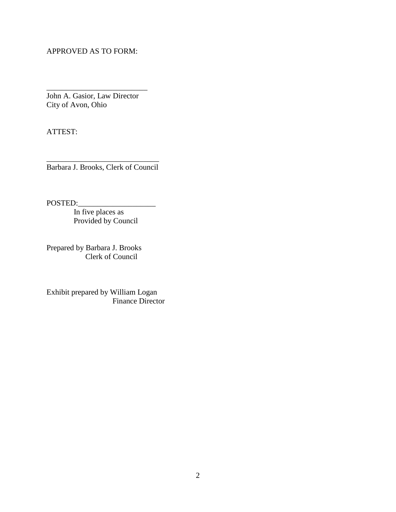APPROVED AS TO FORM:

John A. Gasior, Law Director City of Avon, Ohio

\_\_\_\_\_\_\_\_\_\_\_\_\_\_\_\_\_\_\_\_\_\_\_\_\_\_

ATTEST:

\_\_\_\_\_\_\_\_\_\_\_\_\_\_\_\_\_\_\_\_\_\_\_\_\_\_\_\_\_ Barbara J. Brooks, Clerk of Council

POSTED:

In five places as Provided by Council

Prepared by Barbara J. Brooks Clerk of Council

Exhibit prepared by William Logan Finance Director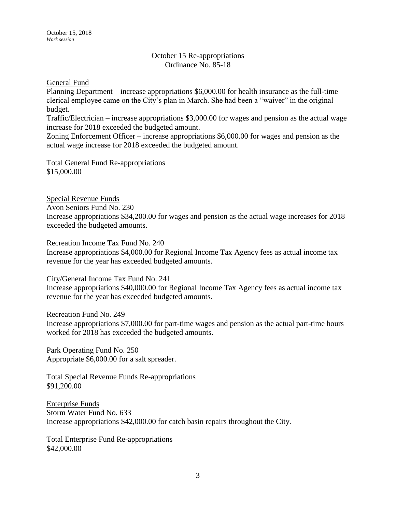## October 15 Re-appropriations Ordinance No. 85-18

General Fund

Planning Department – increase appropriations \$6,000.00 for health insurance as the full-time clerical employee came on the City's plan in March. She had been a "waiver" in the original budget.

Traffic/Electrician – increase appropriations \$3,000.00 for wages and pension as the actual wage increase for 2018 exceeded the budgeted amount.

Zoning Enforcement Officer – increase appropriations \$6,000.00 for wages and pension as the actual wage increase for 2018 exceeded the budgeted amount.

Total General Fund Re-appropriations \$15,000.00

Special Revenue Funds Avon Seniors Fund No. 230 Increase appropriations \$34,200.00 for wages and pension as the actual wage increases for 2018 exceeded the budgeted amounts.

Recreation Income Tax Fund No. 240

Increase appropriations \$4,000.00 for Regional Income Tax Agency fees as actual income tax revenue for the year has exceeded budgeted amounts.

City/General Income Tax Fund No. 241 Increase appropriations \$40,000.00 for Regional Income Tax Agency fees as actual income tax revenue for the year has exceeded budgeted amounts.

Recreation Fund No. 249

Increase appropriations \$7,000.00 for part-time wages and pension as the actual part-time hours worked for 2018 has exceeded the budgeted amounts.

Park Operating Fund No. 250 Appropriate \$6,000.00 for a salt spreader.

Total Special Revenue Funds Re-appropriations \$91,200.00

Enterprise Funds Storm Water Fund No. 633 Increase appropriations \$42,000.00 for catch basin repairs throughout the City.

Total Enterprise Fund Re-appropriations \$42,000.00